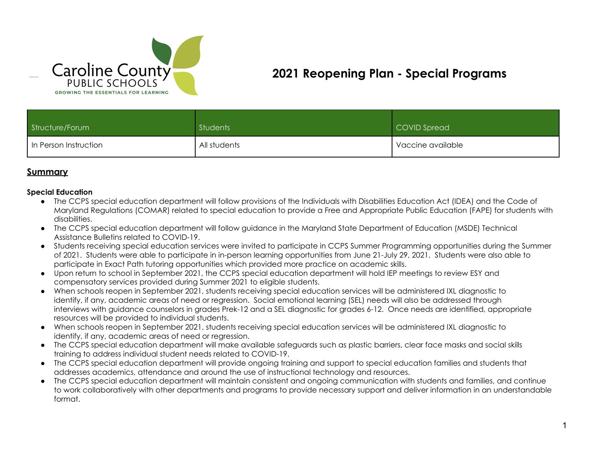

# **2021 Reopening Plan - Special Programs**

| Structure/Forum       | Students     | COVID Spread                   |
|-----------------------|--------------|--------------------------------|
| In Person Instruction | All students | <sup>1</sup> Vaccine available |

## **Summary**

#### **Special Education**

- The CCPS special education department will follow provisions of the Individuals with Disabilities Education Act (IDEA) and the Code of Maryland Regulations (COMAR) related to special education to provide a Free and Appropriate Public Education (FAPE) for students with disabilities.
- The CCPS special education department will follow guidance in the Maryland State Department of Education (MSDE) Technical Assistance Bulletins related to COVID-19.
- Students receiving special education services were invited to participate in CCPS Summer Programming opportunities during the Summer of 2021. Students were able to participate in in-person learning opportunities from June 21-July 29, 2021. Students were also able to participate in Exact Path tutoring opportunities which provided more practice on academic skills.
- Upon return to school in September 2021, the CCPS special education department will hold IEP meetings to review ESY and compensatory services provided during Summer 2021 to eligible students.
- When schools reopen in September 2021, students receiving special education services will be administered IXL diagnostic to identify, if any, academic areas of need or regression. Social emotional learning (SEL) needs will also be addressed through interviews with guidance counselors in grades Prek-12 and a SEL diagnostic for grades 6-12. Once needs are identified, appropriate resources will be provided to individual students.
- When schools reopen in September 2021, students receiving special education services will be administered IXL diagnostic to identify, if any, academic areas of need or regression.
- The CCPS special education department will make available safeguards such as plastic barriers, clear face masks and social skills training to address individual student needs related to COVID-19.
- The CCPS special education department will provide ongoing training and support to special education families and students that addresses academics, attendance and around the use of instructional technology and resources.
- The CCPS special education department will maintain consistent and ongoing communication with students and families, and continue to work collaboratively with other departments and programs to provide necessary support and deliver information in an understandable format.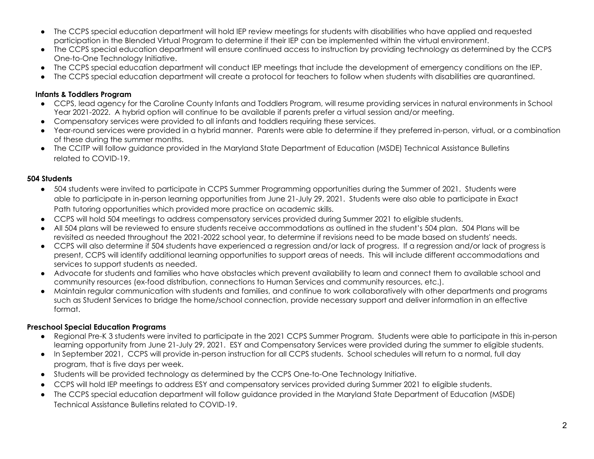- The CCPS special education department will hold IEP review meetings for students with disabilities who have applied and requested participation in the Blended Virtual Program to determine if their IEP can be implemented within the virtual environment.
- The CCPS special education department will ensure continued access to instruction by providing technology as determined by the CCPS One-to-One Technology Initiative.
- The CCPS special education department will conduct IEP meetings that include the development of emergency conditions on the IEP.
- The CCPS special education department will create a protocol for teachers to follow when students with disabilities are quarantined.

### **Infants & Toddlers Program**

- CCPS, lead agency for the Caroline County Infants and Toddlers Program, will resume providing services in natural environments in School Year 2021-2022. A hybrid option will continue to be available if parents prefer a virtual session and/or meeting.
- Compensatory services were provided to all infants and toddlers requiring these services.
- Year-round services were provided in a hybrid manner. Parents were able to determine if they preferred in-person, virtual, or a combination of these during the summer months.
- The CCITP will follow guidance provided in the Maryland State Department of Education (MSDE) Technical Assistance Bulletins related to COVID-19.

#### **504 Students**

- 504 students were invited to participate in CCPS Summer Programming opportunities during the Summer of 2021. Students were able to participate in in-person learning opportunities from June 21-July 29, 2021. Students were also able to participate in Exact Path tutoring opportunities which provided more practice on academic skills.
- CCPS will hold 504 meetings to address compensatory services provided during Summer 2021 to eligible students.
- All 504 plans will be reviewed to ensure students receive accommodations as outlined in the student's 504 plan. 504 Plans will be revisited as needed throughout the 2021-2022 school year, to determine if revisions need to be made based on students' needs.
- CCPS will also determine if 504 students have experienced a regression and/or lack of progress. If a regression and/or lack of progress is present, CCPS will identify additional learning opportunities to support areas of needs. This will include different accommodations and services to support students as needed.
- Advocate for students and families who have obstacles which prevent availability to learn and connect them to available school and community resources (ex-food distribution, connections to Human Services and community resources, etc.).
- Maintain regular communication with students and families, and continue to work collaboratively with other departments and programs such as Student Services to bridge the home/school connection, provide necessary support and deliver information in an effective format.

### **Preschool Special Education Programs**

- Regional Pre-K 3 students were invited to participate in the 2021 CCPS Summer Program. Students were able to participate in this in-person learning opportunity from June 21-July 29, 2021. ESY and Compensatory Services were provided during the summer to eligible students.
- In September 2021, CCPS will provide in-person instruction for all CCPS students. School schedules will return to a normal, full day program, that is five days per week.
- Students will be provided technology as determined by the CCPS One-to-One Technology Initiative.
- CCPS will hold IEP meetings to address ESY and compensatory services provided during Summer 2021 to eligible students.
- The CCPS special education department will follow guidance provided in the Maryland State Department of Education (MSDE) Technical Assistance Bulletins related to COVID-19.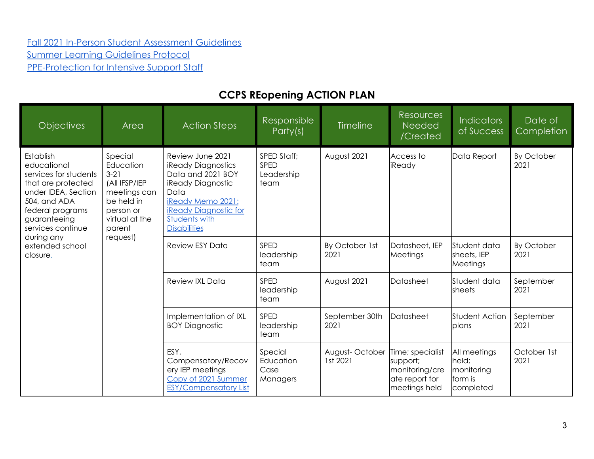# [Fall 2021 In-Person Student Assessment Guidelines](https://docs.google.com/document/d/1An4pPyb1BXl5lsRHOhn1O51CB8E7lPTvrOum-sPy5oA/edit?usp=sharing) [Summer Learning Guidelines Protocol](https://docs.google.com/document/d/1EzqmWEH0zW2JVn1nmPMLxJLe6TrFV1pVfejkJs0Uq5Q/edit?ts=5ef0d1c2) [PPE-Protection for Intensive Support Staff](https://docs.google.com/document/d/1CA_9VMlS09-gwyhXLtOpSGe1s1ldgRmW5H2BDyeLtzo/edit#heading=h.7smdm84srmcx)

# **CCPS REopening ACTION PLAN**

| <b>Objectives</b>                                                                                                                                                       | Area                                                                                                                   | <b>Action Steps</b>                                                                                                                                                                          | Responsible<br>Party(s)                   | <b>Timeline</b>            | <b>Resources</b><br>Needed<br>/Created                                            | <b>Indicators</b><br>of Success                              | Date of<br>Completion |
|-------------------------------------------------------------------------------------------------------------------------------------------------------------------------|------------------------------------------------------------------------------------------------------------------------|----------------------------------------------------------------------------------------------------------------------------------------------------------------------------------------------|-------------------------------------------|----------------------------|-----------------------------------------------------------------------------------|--------------------------------------------------------------|-----------------------|
| Establish<br>educational<br>services for students<br>that are protected<br>under IDEA, Section<br>504, and ADA<br>federal programs<br>guaranteeing<br>services continue | Special<br>Education<br>$3-21$<br>(All IFSP/IEP<br>meetings can<br>be held in<br>person or<br>virtual at the<br>parent | Review June 2021<br><b>iReady Diagnostics</b><br>Data and 2021 BOY<br>iReady Diagnostic<br>Data<br>iReady Memo 2021:<br><b>iReady Diagnostic for</b><br>Students with<br><b>Disabilities</b> | SPED Staff;<br>SPED<br>Leadership<br>team | August 2021                | Access to<br>iReady                                                               | Data Report                                                  | By October<br>2021    |
| during any<br>extended school<br>closure.                                                                                                                               | request)                                                                                                               | <b>Review ESY Data</b>                                                                                                                                                                       | SPED<br>leadership<br>team                | By October 1st<br>2021     | Datasheet, IEP<br>Meetings                                                        | Student data<br>sheets, IEP<br>Meetings                      | By October<br>2021    |
|                                                                                                                                                                         |                                                                                                                        | Review IXL Data                                                                                                                                                                              | SPED<br>leadership<br>team                | August 2021                | Datasheet                                                                         | Student data<br>sheets                                       | September<br>2021     |
|                                                                                                                                                                         |                                                                                                                        | Implementation of IXL<br><b>BOY Diagnostic</b>                                                                                                                                               | SPED<br>leadership<br>team                | September 30th<br>2021     | Datasheet                                                                         | Student Action<br>plans                                      | September<br>2021     |
|                                                                                                                                                                         |                                                                                                                        | ESY.<br>Compensatory/Recov<br>ery IEP meetings<br>Copy of 2021 Summer<br><b>ESY/Compensatory List</b>                                                                                        | Special<br>Education<br>Case<br>Managers  | August-October<br>1st 2021 | Time; specialist<br>support;<br>monitoring/cre<br>ate report for<br>meetings held | All meetings<br>held;<br>monitoring<br>lform is<br>completed | October 1st<br>2021   |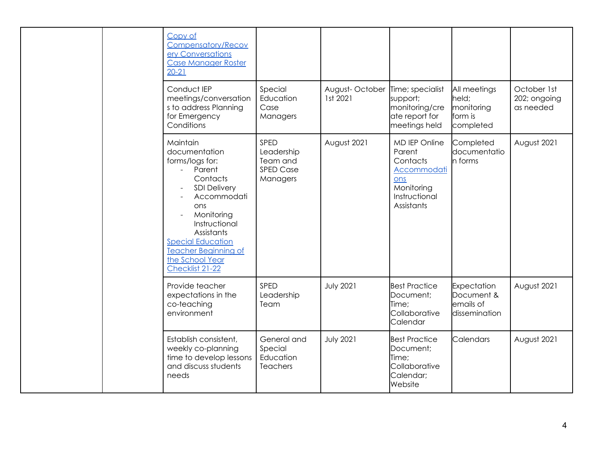|  |                                                                      | Copy of<br><b>Compensatory/Recov</b><br>ery Conversations<br><b>Case Manager Roster</b><br>$20 - 21$                                                                                                                                                                                            |                                                                |                                                                         |                                                                                                        |                                                             |                                          |
|--|----------------------------------------------------------------------|-------------------------------------------------------------------------------------------------------------------------------------------------------------------------------------------------------------------------------------------------------------------------------------------------|----------------------------------------------------------------|-------------------------------------------------------------------------|--------------------------------------------------------------------------------------------------------|-------------------------------------------------------------|------------------------------------------|
|  |                                                                      | Conduct IEP<br>meetings/conversation<br>s to address Planning<br>for Emergency<br>Conditions                                                                                                                                                                                                    | Special<br>Education<br>Case<br>Managers                       | August-October Time; specialist<br>1st 2021                             | support;<br>monitoring/cre<br>ate report for<br>meetings held                                          | All meetings<br>held;<br>monitoring<br>form is<br>completed | October 1st<br>202; ongoing<br>as needed |
|  |                                                                      | Maintain<br>documentation<br>forms/logs for:<br>Parent<br>$\mathbf{r}$<br>Contacts<br><b>SDI Delivery</b><br>Accommodati<br>ons<br>Monitoring<br>$\overline{a}$<br>Instructional<br>Assistants<br><b>Special Education</b><br><b>Teacher Beginning of</b><br>the School Year<br>Checklist 21-22 | SPED<br>Leadership<br>Team and<br><b>SPED Case</b><br>Managers | August 2021                                                             | MD IEP Online<br>Parent<br>Contacts<br>Accommodati<br>ons<br>Monitoring<br>Instructional<br>Assistants | Completed<br>documentatio<br>n forms                        | August 2021                              |
|  | Provide teacher<br>expectations in the<br>co-teaching<br>environment | SPED<br>Leadership<br>Team                                                                                                                                                                                                                                                                      | <b>July 2021</b>                                               | <b>Best Practice</b><br>Document;<br>Time;<br>Collaborative<br>Calendar | Expectation<br>Document &<br>emails of<br>dissemination                                                | August 2021                                                 |                                          |
|  |                                                                      | Establish consistent,<br>weekly co-planning<br>time to develop lessons<br>and discuss students<br>needs                                                                                                                                                                                         | General and<br>Special<br>Education<br><b>Teachers</b>         | <b>July 2021</b>                                                        | <b>Best Practice</b><br>Document;<br>Time;<br>Collaborative<br>Calendar;<br>Website                    | <b>Calendars</b>                                            | August 2021                              |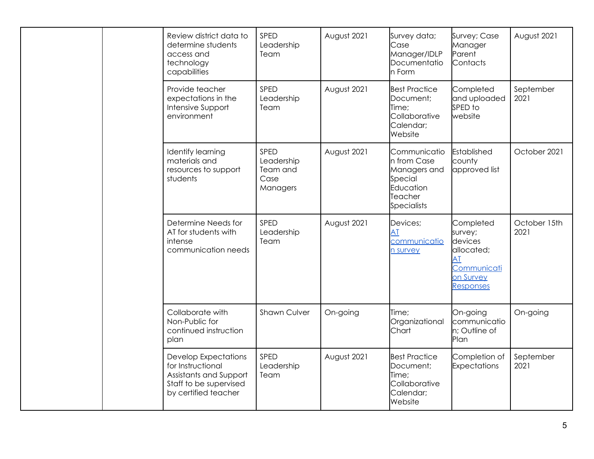|  |                                                                               | Review district data to<br>determine students<br>access and<br>technology<br>capabilities                                    | SPED<br>Leadership<br>Team                         | August 2021                                | Survey data;<br>Case<br>Manager/IDLP<br>Documentatio<br>n Form                                             | Survey; Case<br>Manager<br>Parent<br>Contacts     | August 2021       |
|--|-------------------------------------------------------------------------------|------------------------------------------------------------------------------------------------------------------------------|----------------------------------------------------|--------------------------------------------|------------------------------------------------------------------------------------------------------------|---------------------------------------------------|-------------------|
|  |                                                                               | Provide teacher<br>expectations in the<br>Intensive Support<br>environment                                                   | SPED<br>Leadership<br>Team                         | August 2021                                | <b>Best Practice</b><br>Document;<br>Time;<br>Collaborative<br>Calendar;<br>Website                        | Completed<br>and uploaded<br>SPED to<br>website   | September<br>2021 |
|  |                                                                               | Identify learning<br>materials and<br>resources to support<br>students                                                       | SPED<br>Leadership<br>Team and<br>Case<br>Managers | August 2021                                | Communicatio<br>n from Case<br>Managers and<br>Special<br>Education<br>Teacher<br><b>Specialists</b>       | Established<br>county<br>approved list            | October 2021      |
|  | Determine Needs for<br>AT for students with<br>intense<br>communication needs | SPED<br>Leadership<br>Team                                                                                                   | August 2021                                        | Devices;<br>AT<br>communicatio<br>n survey | Completed<br>survey;<br>devices<br>allocated;<br><b>AT</b><br>Communicati<br>on Survey<br><b>Responses</b> | October 15th<br>2021                              |                   |
|  |                                                                               | Collaborate with<br>Non-Public for<br>continued instruction<br>plan                                                          | <b>Shawn Culver</b>                                | On-going                                   | Time;<br>Organizational<br>Chart                                                                           | On-going<br>communicatio<br>n; Outline of<br>Plan | On-going          |
|  |                                                                               | <b>Develop Expectations</b><br>for Instructional<br>Assistants and Support<br>Staff to be supervised<br>by certified teacher | SPED<br>Leadership<br>Team                         | August 2021                                | <b>Best Practice</b><br>Document;<br>Time;<br>Collaborative<br>Calendar;<br>Website                        | Completion of<br>Expectations                     | September<br>2021 |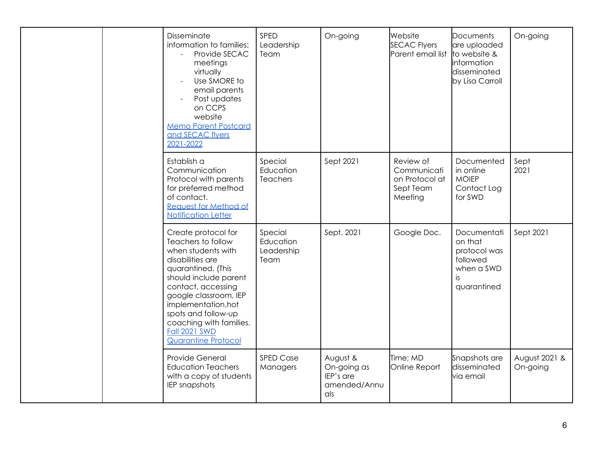|  |                                                                                                                                                                                                                                                                                                                  | Disseminate<br>information to families:<br>Provide SECAC<br>meetings<br>virtually<br>Use SMORE to<br>email parents<br>Post updates<br>on CCPS<br>website<br><b>Memo Parent Postcard</b><br>and SECAC flyers<br>2021-2022 | SPED<br>Leadership<br>Team              | On-going                                                    | Website<br><b>SECAC Flyers</b><br>Parent email list                                   | Documents<br>are uploaded<br>to website &<br>information<br>disseminated<br>by Lisa Carroll | On-going                  |
|--|------------------------------------------------------------------------------------------------------------------------------------------------------------------------------------------------------------------------------------------------------------------------------------------------------------------|--------------------------------------------------------------------------------------------------------------------------------------------------------------------------------------------------------------------------|-----------------------------------------|-------------------------------------------------------------|---------------------------------------------------------------------------------------|---------------------------------------------------------------------------------------------|---------------------------|
|  |                                                                                                                                                                                                                                                                                                                  | Establish a<br>Communication<br>Protocol with parents<br>for preferred method<br>of contact.<br>Request for Method of<br><b>Notification Letter</b>                                                                      | Special<br>Education<br><b>Teachers</b> | Sept 2021                                                   | Review of<br>Communicati<br>on Protocol at<br>Sept Team<br>Meeting                    | Documented<br>in online<br><b>MOIEP</b><br>Contact Log<br>for SWD                           | Sept<br>2021              |
|  | Create protocol for<br>Teachers to follow<br>when students with<br>disabilities are<br>quarantined. (This<br>should include parent<br>contact, accessing<br>google classroom, IEP<br>implementation, hot<br>spots and follow-up<br>coaching with families.<br><b>Fall 2021 SWD</b><br><b>Quarantine Protocol</b> | Special<br>Education<br>Leadership<br>Team                                                                                                                                                                               | Sept. 2021                              | Google Doc.                                                 | Documentati<br>on that<br>protocol was<br>followed<br>when a SWD<br>is<br>quarantined | Sept 2021                                                                                   |                           |
|  |                                                                                                                                                                                                                                                                                                                  | Provide General<br><b>Education Teachers</b><br>with a copy of students<br>IEP snapshots                                                                                                                                 | <b>SPED Case</b><br>Managers            | August &<br>On-going as<br>IEP's are<br>amended/Annu<br>als | Time; MD<br>Online Report                                                             | Snapshots are<br>disseminated<br>via email                                                  | August 2021 &<br>On-going |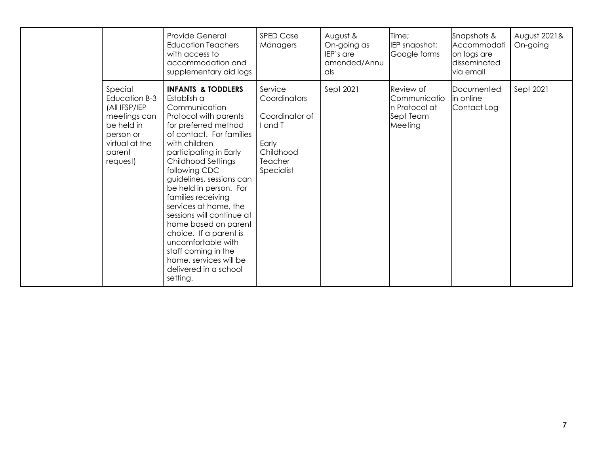|                                                                                                                              | Provide General<br><b>Education Teachers</b><br>with access to<br>accommodation and<br>supplementary aid logs                                                                                                                                                                                                                                                                                                                                                                                                                       | <b>SPED Case</b><br>Managers                                                                      | August &<br>On-going as<br>IEP's are<br>amended/Annu<br>als | Time;<br>IEP snapshot;<br>Google forms                             | Snapshots &<br>Accommodati<br>on logs are<br>disseminated<br>via email | August 2021&<br>On-going |
|------------------------------------------------------------------------------------------------------------------------------|-------------------------------------------------------------------------------------------------------------------------------------------------------------------------------------------------------------------------------------------------------------------------------------------------------------------------------------------------------------------------------------------------------------------------------------------------------------------------------------------------------------------------------------|---------------------------------------------------------------------------------------------------|-------------------------------------------------------------|--------------------------------------------------------------------|------------------------------------------------------------------------|--------------------------|
| Special<br>Education B-3<br>(All IFSP/IEP<br>meetings can<br>be held in<br>person or<br>virtual at the<br>parent<br>request) | <b>INFANTS &amp; TODDLERS</b><br>Establish a<br>Communication<br>Protocol with parents<br>for preferred method<br>of contact. For families<br>with children<br>participating in Early<br><b>Childhood Settings</b><br>following CDC<br>guidelines, sessions can<br>be held in person. For<br>families receiving<br>services at home, the<br>sessions will continue at<br>home based on parent<br>choice. If a parent is<br>uncomfortable with<br>staff coming in the<br>home, services will be<br>delivered in a school<br>setting. | Service<br>Coordinators<br>Coordinator of<br>and T<br>Early<br>Childhood<br>Teacher<br>Specialist | Sept 2021                                                   | Review of<br>Communicatio<br>n Protocol at<br>Sept Team<br>Meeting | Documented<br>in online<br>Contact Log                                 | Sept 2021                |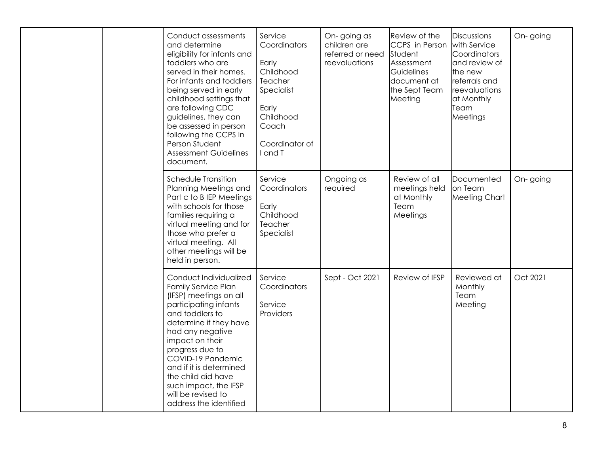|  | Conduct assessments<br>and determine<br>eligibility for infants and<br>toddlers who are<br>served in their homes.<br>For infants and toddlers<br>being served in early<br>childhood settings that<br>are following CDC<br>guidelines, they can<br>be assessed in person<br>following the CCPS In<br>Person Student<br><b>Assessment Guidelines</b><br>document. | Service<br>Coordinators<br>Early<br>Childhood<br>Teacher<br>Specialist<br>Early<br>Childhood<br>Coach<br>Coordinator of<br>I and T | On-going as<br>children are<br>referred or need<br>reevaluations | Review of the<br>CCPS in Person<br>Student<br>Assessment<br><b>Guidelines</b><br>document at<br>the Sept Team<br>Meeting | <b>Discussions</b><br>with Service<br>Coordinators<br>and review of<br>the new<br>referrals and<br>reevaluations<br>at Monthly<br>Team<br>Meetings | On-going |
|--|-----------------------------------------------------------------------------------------------------------------------------------------------------------------------------------------------------------------------------------------------------------------------------------------------------------------------------------------------------------------|------------------------------------------------------------------------------------------------------------------------------------|------------------------------------------------------------------|--------------------------------------------------------------------------------------------------------------------------|----------------------------------------------------------------------------------------------------------------------------------------------------|----------|
|  | Schedule Transition<br>Planning Meetings and<br>Part c to B IEP Meetings<br>with schools for those<br>families requiring a<br>virtual meeting and for<br>those who prefer a<br>virtual meeting. All<br>other meetings will be<br>held in person.                                                                                                                | Service<br>Coordinators<br>Early<br>Childhood<br>Teacher<br>Specialist                                                             | Ongoing as<br>required                                           | Review of all<br>meetings held<br>at Monthly<br>Team<br>Meetings                                                         | Documented<br>on Team<br><b>Meeting Chart</b>                                                                                                      | On-going |
|  | Conduct Individualized<br><b>Family Service Plan</b><br>(IFSP) meetings on all<br>participating infants<br>and toddlers to<br>determine if they have<br>had any negative<br>impact on their<br>progress due to<br>COVID-19 Pandemic<br>and if it is determined<br>the child did have<br>such impact, the IFSP<br>will be revised to<br>address the identified   | Service<br>Coordinators<br>Service<br>Providers                                                                                    | Sept - Oct 2021                                                  | Review of IFSP                                                                                                           | Reviewed at<br>Monthly<br>Team<br>Meeting                                                                                                          | Oct 2021 |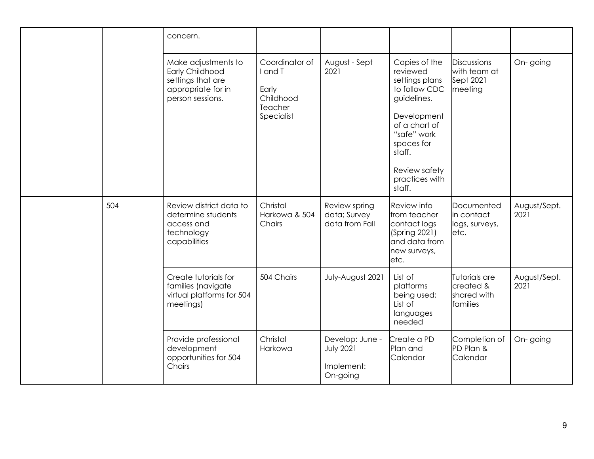|     | concern.                                                                                              |                                                                          |                                                               |                                                                                                                                                                                                 |                                                       |                      |
|-----|-------------------------------------------------------------------------------------------------------|--------------------------------------------------------------------------|---------------------------------------------------------------|-------------------------------------------------------------------------------------------------------------------------------------------------------------------------------------------------|-------------------------------------------------------|----------------------|
|     | Make adjustments to<br>Early Childhood<br>settings that are<br>appropriate for in<br>person sessions. | Coordinator of<br>I and T<br>Early<br>Childhood<br>Teacher<br>Specialist | August - Sept<br>2021                                         | Copies of the<br>reviewed<br>settings plans<br>to follow CDC<br>guidelines.<br>Development<br>of a chart of<br>"safe" work<br>spaces for<br>staff.<br>Review safety<br>practices with<br>staff. | Discussions<br>with team at<br>Sept 2021<br>meeting   | On-going             |
| 504 | Review district data to<br>determine students<br>access and<br>technology<br>capabilities             | Christal<br>Harkowa & 504<br>Chairs                                      | Review spring<br>data; Survey<br>data from Fall               | <b>Review</b> info<br>from teacher<br>contact logs<br>(Spring 2021)<br>and data from<br>new surveys,<br>letc.                                                                                   | Documented<br>in contact<br>logs, surveys,<br>letc.   | August/Sept.<br>2021 |
|     | Create tutorials for<br>families (navigate<br>virtual platforms for 504<br>meetings)                  | 504 Chairs                                                               | July-August 2021                                              | List of<br>platforms<br>being used;<br>List of<br>languages<br>needed                                                                                                                           | Tutorials are<br>created &<br>shared with<br>families | August/Sept.<br>2021 |
|     | Provide professional<br>development<br>opportunities for 504<br>Chairs                                | Christal<br>Harkowa                                                      | Develop: June -<br><b>July 2021</b><br>Implement:<br>On-going | Create a PD<br>Plan and<br>Calendar                                                                                                                                                             | Completion of<br>PD Plan &<br>Calendar                | On-going             |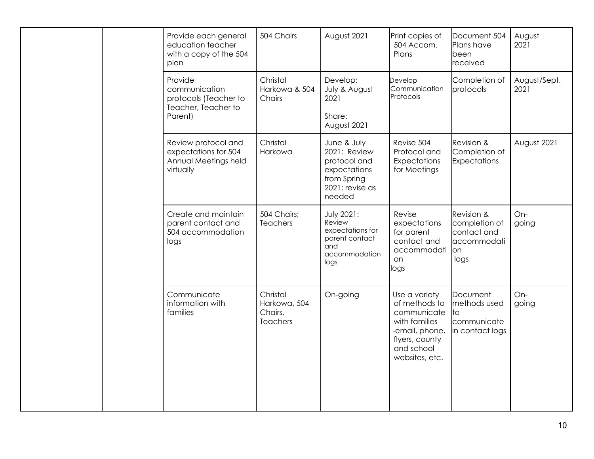|  | Provide each general<br>education teacher<br>with a copy of the 504<br>plan         | 504 Chairs                                             | August 2021                                                                                                            | Print copies of<br>504 Accom.<br>Plans                                                                                             | Document 504<br>Plans have<br><b>l</b> been<br>received                  | August<br>2021       |
|--|-------------------------------------------------------------------------------------|--------------------------------------------------------|------------------------------------------------------------------------------------------------------------------------|------------------------------------------------------------------------------------------------------------------------------------|--------------------------------------------------------------------------|----------------------|
|  | Provide<br>communication<br>protocols (Teacher to<br>Teacher, Teacher to<br>Parent) | Christal<br>Harkowa & 504<br>Chairs                    | Develop:<br>July & August<br>2021<br>Share:                                                                            | Develop<br>Communication<br>Protocols                                                                                              | Completion of<br>protocols                                               | August/Sept.<br>2021 |
|  | Review protocol and<br>expectations for 504<br>Annual Meetings held<br>virtually    | Christal<br>Harkowa                                    | August 2021<br>June & July<br>2021: Review<br>protocol and<br>expectations<br>from Spring<br>2021; revise as<br>needed | Revise 504<br>Protocol and<br>Expectations<br>for Meetings                                                                         | Revision &<br>Completion of<br>Expectations                              | August 2021          |
|  | Create and maintain<br>parent contact and<br>504 accommodation<br>logs              | 504 Chairs;<br>Teachers                                | <b>July 2021:</b><br>Review<br>expectations for<br>parent contact<br>and<br>accommodation<br>logs                      | Revise<br>expectations<br>for parent<br>contact and<br>accommodati<br>on<br>logs                                                   | Revision &<br>completion of<br>contact and<br>accommodati<br>lon<br>logs | On-<br>going         |
|  | Communicate<br>information with<br>families                                         | Christal<br>Harkowa, 504<br>Chairs,<br><b>Teachers</b> | On-going                                                                                                               | Use a variety<br>of methods to<br>communicate<br>with families<br>-email, phone,<br>flyers, county<br>and school<br>websites, etc. | Document<br>methods used<br>lto<br>communicate<br>in contact logs        | On-<br>going         |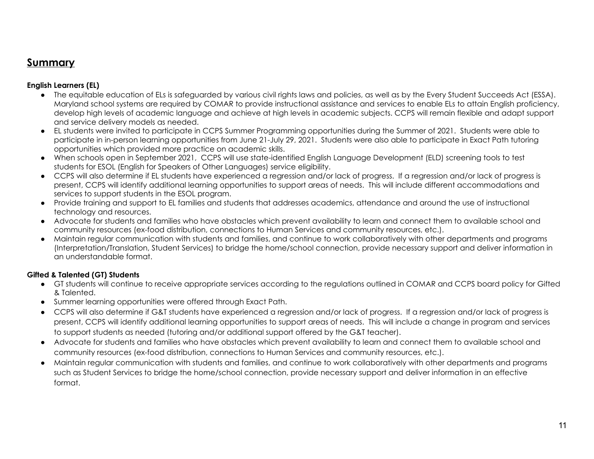# **Summary**

### **English Learners (EL)**

- The equitable education of ELs is safeguarded by various civil rights laws and policies, as well as by the Every Student Succeeds Act (ESSA). Maryland school systems are required by COMAR to provide instructional assistance and services to enable ELs to attain English proficiency, develop high levels of academic language and achieve at high levels in academic subjects. CCPS will remain flexible and adapt support and service delivery models as needed.
- EL students were invited to participate in CCPS Summer Programming opportunities during the Summer of 2021. Students were able to participate in in-person learning opportunities from June 21-July 29, 2021. Students were also able to participate in Exact Path tutoring opportunities which provided more practice on academic skills.
- When schools open in September 2021, CCPS will use state-identified English Language Development (ELD) screening tools to test students for ESOL (English for Speakers of Other Languages) service eligibility.
- CCPS will also determine if EL students have experienced a regression and/or lack of progress. If a regression and/or lack of progress is present, CCPS will identify additional learning opportunities to support areas of needs. This will include different accommodations and services to support students in the ESOL program.
- Provide training and support to EL families and students that addresses academics, attendance and around the use of instructional technology and resources.
- Advocate for students and families who have obstacles which prevent availability to learn and connect them to available school and community resources (ex-food distribution, connections to Human Services and community resources, etc.).
- Maintain regular communication with students and families, and continue to work collaboratively with other departments and programs (Interpretation/Translation, Student Services) to bridge the home/school connection, provide necessary support and deliver information in an understandable format.

### **Gifted & Talented (GT) Students**

- GT students will continue to receive appropriate services according to the regulations outlined in COMAR and CCPS board policy for Gifted & Talented.
- Summer learning opportunities were offered through Exact Path.
- CCPS will also determine if G&T students have experienced a regression and/or lack of progress. If a regression and/or lack of progress is present, CCPS will identify additional learning opportunities to support areas of needs. This will include a change in program and services to support students as needed (tutoring and/or additional support offered by the G&T teacher).
- Advocate for students and families who have obstacles which prevent availability to learn and connect them to available school and community resources (ex-food distribution, connections to Human Services and community resources, etc.).
- Maintain regular communication with students and families, and continue to work collaboratively with other departments and programs such as Student Services to bridge the home/school connection, provide necessary support and deliver information in an effective format.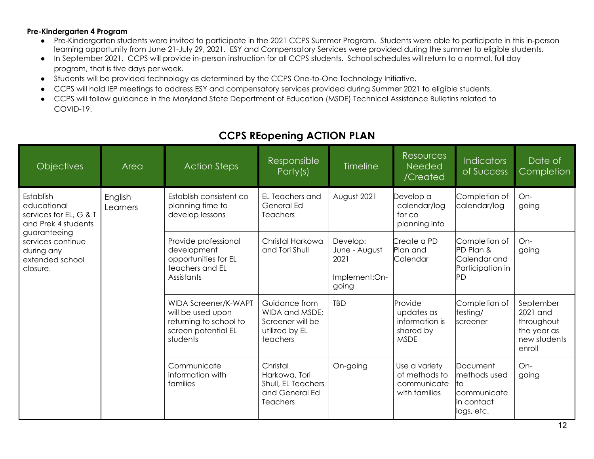#### **Pre-Kindergarten 4 Program**

- Pre-Kindergarten students were invited to participate in the 2021 CCPS Summer Program. Students were able to participate in this in-person learning opportunity from June 21-July 29, 2021. ESY and Compensatory Services were provided during the summer to eligible students.
- In September 2021, CCPS will provide in-person instruction for all CCPS students. School schedules will return to a normal, full day program, that is five days per week.
- Students will be provided technology as determined by the CCPS One-to-One Technology Initiative.
- CCPS will hold IEP meetings to address ESY and compensatory services provided during Summer 2021 to eligible students.
- CCPS will follow guidance in the Maryland State Department of Education (MSDE) Technical Assistance Bulletins related to COVID-19.

| <b>Objectives</b>                                                                                                                                           | Area                | <b>Action Steps</b>                                                                                           | Responsible<br>Party(s)                                                              | <b>Timeline</b>                                             | <b>Resources</b><br>Needed<br>/Created                              | <b>Indicators</b><br>of Success                                                      | Date of<br>Completion                                                        |
|-------------------------------------------------------------------------------------------------------------------------------------------------------------|---------------------|---------------------------------------------------------------------------------------------------------------|--------------------------------------------------------------------------------------|-------------------------------------------------------------|---------------------------------------------------------------------|--------------------------------------------------------------------------------------|------------------------------------------------------------------------------|
| Establish<br>educational<br>services for EL, G & T<br>and Prek 4 students<br>guaranteeing<br>services continue<br>during any<br>extended school<br>closure. | English<br>Learners | Establish consistent co<br>planning time to<br>develop lessons                                                | EL Teachers and<br>General Ed<br><b>Teachers</b>                                     | August 2021                                                 | Develop a<br>calendar/log<br>for co<br>planning info                | Completion of<br>calendar/log                                                        | On-<br>going                                                                 |
|                                                                                                                                                             |                     | Provide professional<br>development<br>opportunities for EL<br>teachers and EL<br>Assistants                  | Christal Harkowa<br>and Tori Shull                                                   | Develop:<br>June - August<br>2021<br>Implement:On-<br>going | Create a PD<br>Plan and<br>Calendar                                 | Completion of<br>PD Plan &<br>Calendar and<br>Participation in<br>ΡD                 | On-<br>going                                                                 |
|                                                                                                                                                             |                     | <b>WIDA Screener/K-WAPT</b><br>will be used upon<br>returning to school to<br>screen potential EL<br>students | Guidance from<br>WIDA and MSDE;<br>Screener will be<br>utilized by EL<br>teachers    | <b>TBD</b>                                                  | Provide<br>updates as<br>information is<br>shared by<br><b>MSDE</b> | Completion of<br>testing/<br>screener                                                | September<br>2021 and<br>throughout<br>the year as<br>new students<br>enroll |
|                                                                                                                                                             |                     | Communicate<br>information with<br>families                                                                   | Christal<br>Harkowa, Tori<br>Shull, EL Teachers<br>and General Ed<br><b>Teachers</b> | On-going                                                    | Use a variety<br>of methods to<br>communicate<br>with families      | Document<br>methods used<br>lto<br><b>I</b> communicate<br>lin contact<br>logs, etc. | On-<br>going                                                                 |

# **CCPS REopening ACTION PLAN**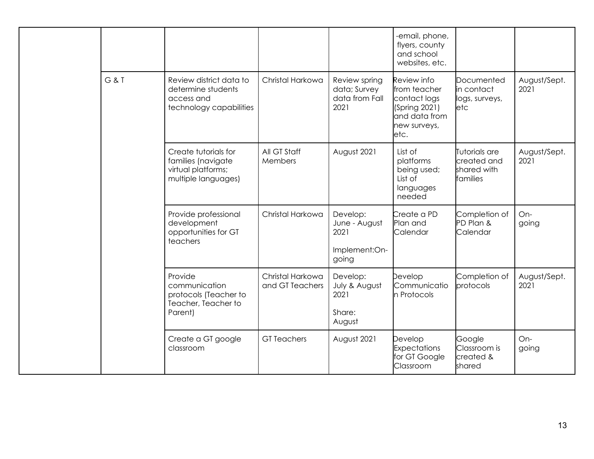|  |       |                                                                                         |                                     |                                                             | -email, phone,<br>flyers, county<br>and school<br>websites, etc.                                      |                                                            |                      |
|--|-------|-----------------------------------------------------------------------------------------|-------------------------------------|-------------------------------------------------------------|-------------------------------------------------------------------------------------------------------|------------------------------------------------------------|----------------------|
|  | G & T | Review district data to<br>determine students<br>access and<br>technology capabilities  | Christal Harkowa                    | Review spring<br>data; Survey<br>data from Fall<br>2021     | Review info<br>from teacher<br>contact logs<br>(Spring 2021)<br>and data from<br>new surveys,<br>etc. | Documented<br>in contact<br>logs, surveys,<br><b>l</b> etc | August/Sept.<br>2021 |
|  |       | Create tutorials for<br>families (navigate<br>virtual platforms;<br>multiple languages) | All GT Staff<br>Members             | August 2021                                                 | List of<br>platforms<br>being used;<br>List of<br>languages<br>needed                                 | Tutorials are<br>created and<br>shared with<br>lfamilies   | August/Sept.<br>2021 |
|  |       | Provide professional<br>development<br>opportunities for GT<br>teachers                 | Christal Harkowa                    | Develop:<br>June - August<br>2021<br>Implement:On-<br>going | Create a PD<br>Plan and<br>Calendar                                                                   | Completion of<br>PD Plan &<br>Calendar                     | On-<br>going         |
|  |       | Provide<br>communication<br>protocols (Teacher to<br>Teacher, Teacher to<br>Parent)     | Christal Harkowa<br>and GT Teachers | Develop:<br>July & August<br>2021<br>Share:<br>August       | Develop<br>Communicatio<br>n Protocols                                                                | Completion of<br>protocols                                 | August/Sept.<br>2021 |
|  |       | Create a GT google<br>classroom                                                         | <b>GT</b> Teachers                  | August 2021                                                 | Develop<br><b>Expectations</b><br>for GT Google<br>Classroom                                          | Google<br>Classroom is<br>created &<br>shared              | $On-$<br>going       |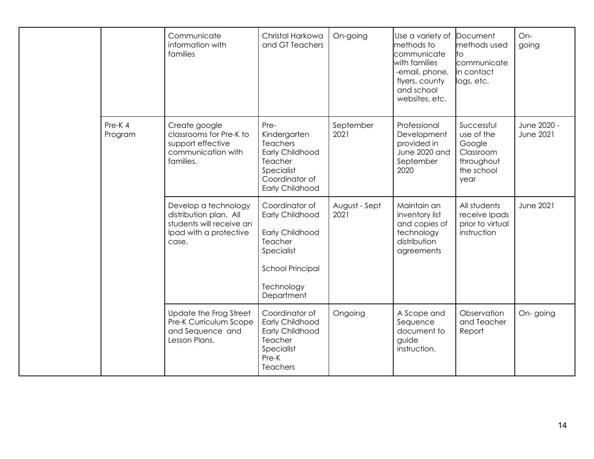|  |                   | Communicate<br>information with<br>families                                                                   | Christal Harkowa<br>and GT Teachers                                                                                                  | On-going              | Use a variety of<br>methods to<br>communicate<br>with families<br>-email, phone,<br>flyers, county<br>and school<br>websites, etc. | lDocument.<br>methods used<br>lto<br><b>I</b> communicate<br>in contact<br>logs, etc. | On-<br>going                    |
|--|-------------------|---------------------------------------------------------------------------------------------------------------|--------------------------------------------------------------------------------------------------------------------------------------|-----------------------|------------------------------------------------------------------------------------------------------------------------------------|---------------------------------------------------------------------------------------|---------------------------------|
|  | Pre-K4<br>Program | Create google<br>classrooms for Pre-K to<br>support effective<br>communication with<br>families.              | Pre-<br>Kindergarten<br><b>Teachers</b><br>Early Childhood<br>Teacher<br>Specialist<br>Coordinator of<br>Early Childhood             | September<br>2021     | Professional<br>Development<br>provided in<br>June 2020 and<br>September<br>2020                                                   | Successful<br>use of the<br>Google<br>Classroom<br>throughout<br>the school<br>year   | June 2020 -<br><b>June 2021</b> |
|  |                   | Develop a technology<br>distribution plan. All<br>students will receive an<br>Ipad with a protective<br>case. | Coordinator of<br>Early Childhood<br>Early Childhood<br>Teacher<br>Specialist<br><b>School Principal</b><br>Technology<br>Department | August - Sept<br>2021 | Maintain an<br>inventory list<br>and copies of<br>technology<br>distribution<br>agreements                                         | All students<br>receive Ipads<br>prior to virtual<br>instruction                      | <b>June 2021</b>                |
|  |                   | Update the Frog Street<br>Pre-K Curriculum Scope<br>and Sequence and<br>Lesson Plans.                         | Coordinator of<br><b>Early Childhood</b><br>Early Childhood<br>Teacher<br>Specialist<br>Pre-K<br>Teachers                            | Ongoing               | A Scope and<br>Sequence<br>document to<br>guide<br>instruction.                                                                    | Observation<br>and Teacher<br>Report                                                  | On-going                        |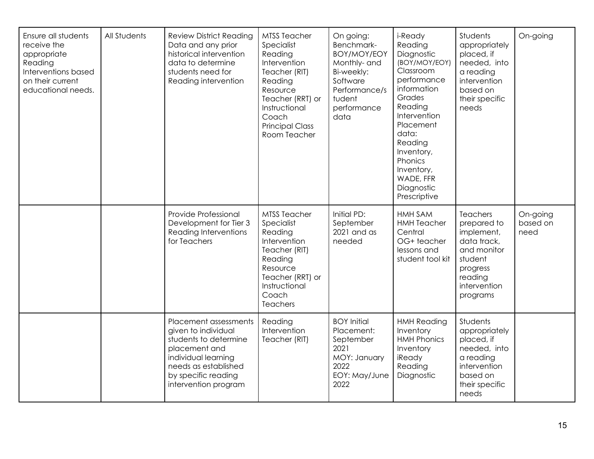| Ensure all students<br>receive the<br>appropriate<br>Reading<br>Interventions based<br>on their current<br>educational needs. | All Students | <b>Review District Reading</b><br>Data and any prior<br>historical intervention<br>data to determine<br>students need for<br>Reading intervention                                    | <b>MTSS Teacher</b><br>Specialist<br>Reading<br>Intervention<br>Teacher (RIT)<br>Reading<br>Resource<br>Teacher (RRT) or<br>Instructional<br>Coach<br><b>Principal Class</b><br>Room Teacher | On going:<br>Benchmark-<br>BOY/MOY/EOY<br>Monthly- and<br>Bi-weekly:<br>Software<br>Performance/s<br>tudent<br>performance<br>data | i-Ready<br>Reading<br>Diagnostic<br>(BOY/MOY/EOY)<br>Classroom<br>performance<br>information<br>Grades<br>Reading<br>Intervention<br>Placement<br>data:<br>Reading<br>Inventory,<br>Phonics<br>Inventory,<br>WADE, FFR<br>Diagnostic<br>Prescriptive | Students<br>appropriately<br>placed, if<br>needed, into<br>a reading<br>intervention<br>based on<br>their specific<br>needs       | On-going                     |
|-------------------------------------------------------------------------------------------------------------------------------|--------------|--------------------------------------------------------------------------------------------------------------------------------------------------------------------------------------|----------------------------------------------------------------------------------------------------------------------------------------------------------------------------------------------|------------------------------------------------------------------------------------------------------------------------------------|------------------------------------------------------------------------------------------------------------------------------------------------------------------------------------------------------------------------------------------------------|-----------------------------------------------------------------------------------------------------------------------------------|------------------------------|
|                                                                                                                               |              | Provide Professional<br>Development for Tier 3<br>Reading Interventions<br>for Teachers                                                                                              | <b>MTSS Teacher</b><br>Specialist<br>Reading<br>Intervention<br>Teacher (RIT)<br>Reading<br>Resource<br>Teacher (RRT) or<br>Instructional<br>Coach<br>Teachers                               | Initial PD:<br>September<br>2021 and as<br>needed                                                                                  | <b>HMH SAM</b><br><b>HMH Teacher</b><br>Central<br>OG+ teacher<br>lessons and<br>student tool kit                                                                                                                                                    | Teachers<br>prepared to<br>implement,<br>data track,<br>and monitor<br>student<br>progress<br>reading<br>intervention<br>programs | On-going<br>based on<br>need |
|                                                                                                                               |              | Placement assessments<br>given to individual<br>students to determine<br>placement and<br>individual learning<br>needs as established<br>by specific reading<br>intervention program | Reading<br>Intervention<br>Teacher (RIT)                                                                                                                                                     | <b>BOY Initial</b><br>Placement:<br>September<br>2021<br>MOY: January<br>2022<br>EOY: May/June<br>2022                             | <b>HMH Reading</b><br>Inventory<br><b>HMH Phonics</b><br>Inventory<br>iReady<br>Reading<br>Diagnostic                                                                                                                                                | Students<br>appropriately<br>placed, if<br>needed, into<br>a reading<br>intervention<br>based on<br>their specific<br>needs       |                              |